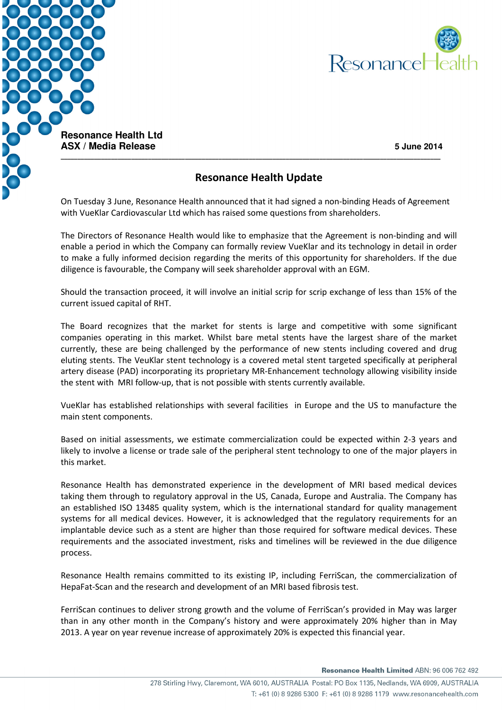



**ASX / Media Release 5 June 2014** 

## Resonance Health Update

On Tuesday 3 June, Resonance Health announced that it had signed a non-binding Heads of Agreement with VueKlar Cardiovascular Ltd which has raised some questions from shareholders.

The Directors of Resonance Health would like to emphasize that the Agreement is non-binding and will enable a period in which the Company can formally review VueKlar and its technology in detail in order to make a fully informed decision regarding the merits of this opportunity for shareholders. If the due diligence is favourable, the Company will seek shareholder approval with an EGM.

Should the transaction proceed, it will involve an initial scrip for scrip exchange of less than 15% of the current issued capital of RHT.

The Board recognizes that the market for stents is large and competitive with some significant companies operating in this market. Whilst bare metal stents have the largest share of the market currently, these are being challenged by the performance of new stents including covered and drug eluting stents. The VeuKlar stent technology is a covered metal stent targeted specifically at peripheral artery disease (PAD) incorporating its proprietary MR-Enhancement technology allowing visibility inside the stent with MRI follow-up, that is not possible with stents currently available.

VueKlar has established relationships with several facilities in Europe and the US to manufacture the main stent components.

Based on initial assessments, we estimate commercialization could be expected within 2-3 years and likely to involve a license or trade sale of the peripheral stent technology to one of the major players in this market.

Resonance Health has demonstrated experience in the development of MRI based medical devices taking them through to regulatory approval in the US, Canada, Europe and Australia. The Company has an established ISO 13485 quality system, which is the international standard for quality management systems for all medical devices. However, it is acknowledged that the regulatory requirements for an implantable device such as a stent are higher than those required for software medical devices. These requirements and the associated investment, risks and timelines will be reviewed in the due diligence process.

Resonance Health remains committed to its existing IP, including FerriScan, the commercialization of HepaFat-Scan and the research and development of an MRI based fibrosis test.

FerriScan continues to deliver strong growth and the volume of FerriScan's provided in May was larger than in any other month in the Company's history and were approximately 20% higher than in May 2013. A year on year revenue increase of approximately 20% is expected this financial year.

Resonance Health Limited ABN: 96 006 762 492